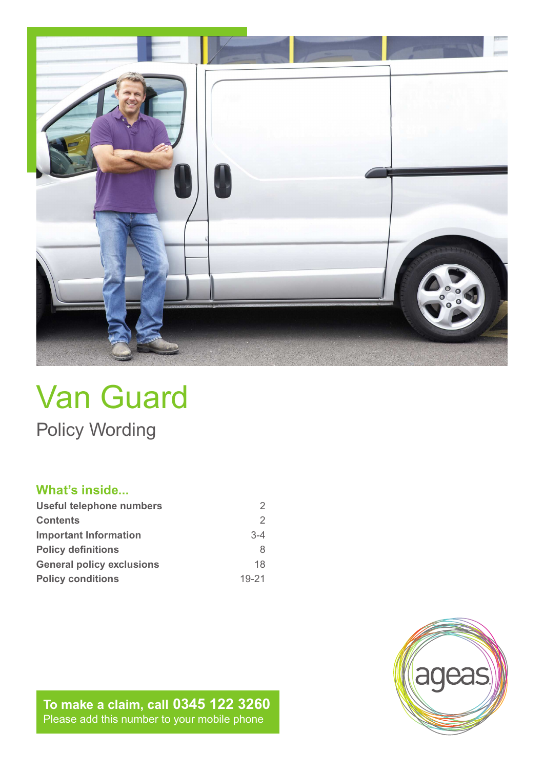

# Van Guard Policy Wording

# **What's inside...**

| Useful telephone numbers         |           |
|----------------------------------|-----------|
| <b>Contents</b>                  | 2         |
| <b>Important Information</b>     | $3 - 4$   |
| <b>Policy definitions</b>        | 8         |
| <b>General policy exclusions</b> | 18        |
| <b>Policy conditions</b>         | $19 - 21$ |

**To make a claim, call 0345 122 3260** Please add this number to your mobile phone

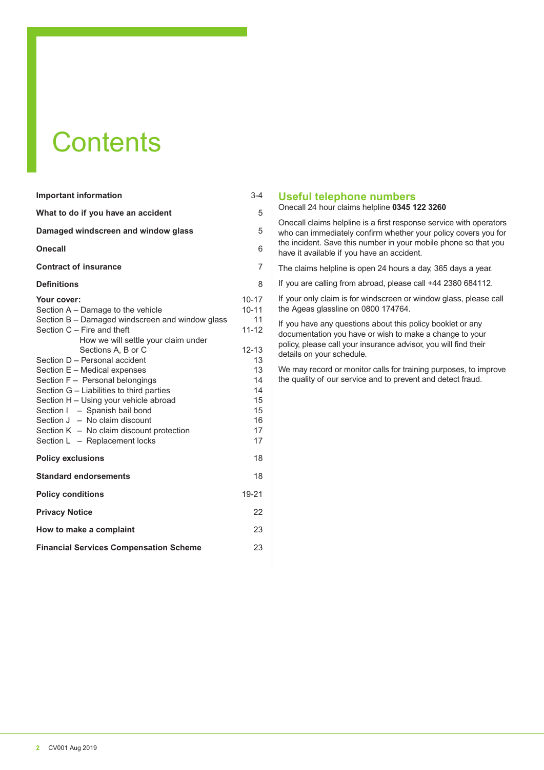# **Contents**

| <b>Important information</b>                                                                                                                                                                                                                                                                                                                                                                                                                                                                                                               | $3 - 4$                                                                                                      |
|--------------------------------------------------------------------------------------------------------------------------------------------------------------------------------------------------------------------------------------------------------------------------------------------------------------------------------------------------------------------------------------------------------------------------------------------------------------------------------------------------------------------------------------------|--------------------------------------------------------------------------------------------------------------|
| What to do if you have an accident                                                                                                                                                                                                                                                                                                                                                                                                                                                                                                         | 5                                                                                                            |
| Damaged windscreen and window glass                                                                                                                                                                                                                                                                                                                                                                                                                                                                                                        | 5                                                                                                            |
| Onecall                                                                                                                                                                                                                                                                                                                                                                                                                                                                                                                                    | 6                                                                                                            |
| <b>Contract of insurance</b>                                                                                                                                                                                                                                                                                                                                                                                                                                                                                                               | $\overline{7}$                                                                                               |
| <b>Definitions</b>                                                                                                                                                                                                                                                                                                                                                                                                                                                                                                                         | 8                                                                                                            |
| Your cover:<br>Section A - Damage to the vehicle<br>Section B - Damaged windscreen and window glass<br>Section C - Fire and theft<br>How we will settle your claim under<br>Sections A. B or C<br>Section D - Personal accident<br>Section E - Medical expenses<br>Section F - Personal belongings<br>Section G - Liabilities to third parties<br>Section H - Using your vehicle abroad<br>Section I - Spanish bail bond<br>Section $J - No$ claim discount<br>Section $K - No$ claim discount protection<br>Section L - Replacement locks | $10 - 17$<br>$10 - 11$<br>11<br>$11 - 12$<br>$12 - 13$<br>13<br>13<br>14<br>14<br>15<br>15<br>16<br>17<br>17 |
| <b>Policy exclusions</b>                                                                                                                                                                                                                                                                                                                                                                                                                                                                                                                   | 18                                                                                                           |
| <b>Standard endorsements</b>                                                                                                                                                                                                                                                                                                                                                                                                                                                                                                               | 18                                                                                                           |
| <b>Policy conditions</b>                                                                                                                                                                                                                                                                                                                                                                                                                                                                                                                   | 19-21                                                                                                        |
| <b>Privacy Notice</b>                                                                                                                                                                                                                                                                                                                                                                                                                                                                                                                      | 22                                                                                                           |
| How to make a complaint                                                                                                                                                                                                                                                                                                                                                                                                                                                                                                                    | 23                                                                                                           |
| <b>Financial Services Compensation Scheme</b>                                                                                                                                                                                                                                                                                                                                                                                                                                                                                              | 23                                                                                                           |

## **Useful telephone numbers**

Onecall 24 hour claims helpline **0345 122 3260**

Onecall claims helpline is a first response service with operators who can immediately confirm whether your policy covers you for the incident. Save this number in your mobile phone so that you have it available if you have an accident.

The claims helpline is open 24 hours a day, 365 days a year.

If you are calling from abroad, please call +44 2380 684112.

If your only claim is for windscreen or window glass, please call the Ageas glassline on 0800 174764.

If you have any questions about this policy booklet or any documentation you have or wish to make a change to your policy, please call your insurance advisor, you will find their details on your schedule.

We may record or monitor calls for training purposes, to improve the quality of our service and to prevent and detect fraud.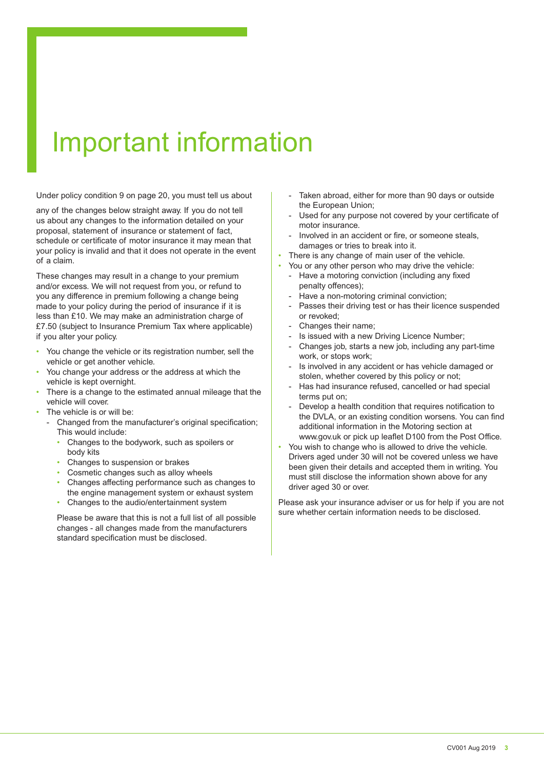# Important information

Under policy condition 9 on page 20, you must tell us about

any of the changes below straight away. If you do not tell us about any changes to the information detailed on your proposal, statement of insurance or statement of fact, schedule or certificate of motor insurance it may mean that your policy is invalid and that it does not operate in the event of a claim.

These changes may result in a change to your premium and/or excess. We will not request from you, or refund to you any diference in premium following a change being made to your policy during the period of insurance if it is less than £10. We may make an administration charge of £7.50 (subject to Insurance Premium Tax where applicable) if you alter your policy.

- You change the vehicle or its registration number, sell the vehicle or get another vehicle.
- You change your address or the address at which the vehicle is kept overnight.
- There is a change to the estimated annual mileage that the vehicle will cover.
- The vehicle is or will be:
	- Changed from the manufacturer's original specification; This would include:
		- Changes to the bodywork, such as spoilers or body kits
		- Changes to suspension or brakes
		- Cosmetic changes such as alloy wheels
		- Changes afecting performance such as changes to the engine management system or exhaust system
		- Changes to the audio/entertainment system

 Please be aware that this is not a full list of all possible changes - all changes made from the manufacturers standard specification must be disclosed.

- Taken abroad, either for more than 90 days or outside the European Union;
- Used for any purpose not covered by your certificate of motor insurance.
- Involved in an accident or fire, or someone steals, damages or tries to break into it.
- There is any change of main user of the vehicle.
- You or any other person who may drive the vehicle:
- Have a motoring conviction (including any fixed penalty offences);
- Have a non-motoring criminal conviction;
- Passes their driving test or has their licence suspended or revoked;
- Changes their name;
- Is issued with a new Driving Licence Number:
- Changes job, starts a new job, including any part-time work, or stops work;
- Is involved in any accident or has vehicle damaged or stolen, whether covered by this policy or not;
- Has had insurance refused, cancelled or had special terms put on;
- Develop a health condition that requires notification to the DVLA, or an existing condition worsens. You can find additional information in the Motoring section at www.gov.uk or pick up leaflet D100 from the Post Office.
- You wish to change who is allowed to drive the vehicle. Drivers aged under 30 will not be covered unless we have been given their details and accepted them in writing. You must still disclose the information shown above for any driver aged 30 or over.

Please ask your insurance adviser or us for help if you are not sure whether certain information needs to be disclosed.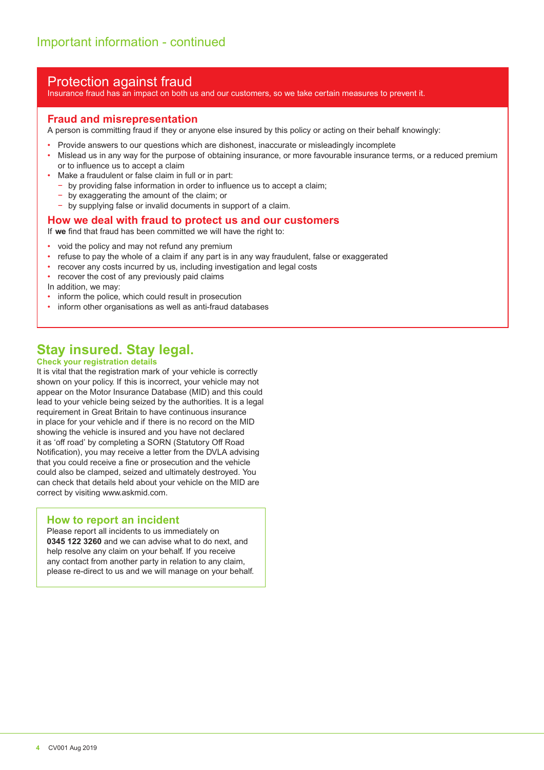# Protection against fraud

Insurance fraud has an impact on both us and our customers, so we take certain measures to prevent it.

# **Fraud and misrepresentation**

A person is committing fraud if they or anyone else insured by this policy or acting on their behalf knowingly:

- Provide answers to our questions which are dishonest, inaccurate or misleadingly incomplete
- Mislead us in any way for the purpose of obtaining insurance, or more favourable insurance terms, or a reduced premium or to influence us to accept a claim
- Make a fraudulent or false claim in full or in part:
	- − by providing false information in order to inluence us to accept a claim;
- − by exaggerating the amount of the claim; or
- by supplying false or invalid documents in support of a claim.

### **How we deal with fraud to protect us and our customers**

If we find that fraud has been committed we will have the right to:

- void the policy and may not refund any premium
- refuse to pay the whole of a claim if any part is in any way fraudulent, false or exaggerated
- recover any costs incurred by us, including investigation and legal costs
- recover the cost of any previously paid claims
- In addition, we may:
- inform the police, which could result in prosecution
- inform other organisations as well as anti-fraud databases

# **Stay insured. Stay legal.**

### **Check your registration details**

It is vital that the registration mark of your vehicle is correctly shown on your policy. If this is incorrect, your vehicle may not appear on the Motor Insurance Database (MID) and this could lead to your vehicle being seized by the authorities. It is a legal requirement in Great Britain to have continuous insurance in place for your vehicle and if there is no record on the MID showing the vehicle is insured and you have not declared it as 'off road' by completing a SORN (Statutory Off Road Notification), you may receive a letter from the DVLA advising that you could receive a fine or prosecution and the vehicle could also be clamped, seized and ultimately destroyed. You can check that details held about your vehicle on the MID are correct by visiting www.askmid.com.

## **How to report an incident**

Please report all incidents to us immediately on **0345 122 3260** and we can advise what to do next, and help resolve any claim on your behalf. If you receive any contact from another party in relation to any claim, please re-direct to us and we will manage on your behalf.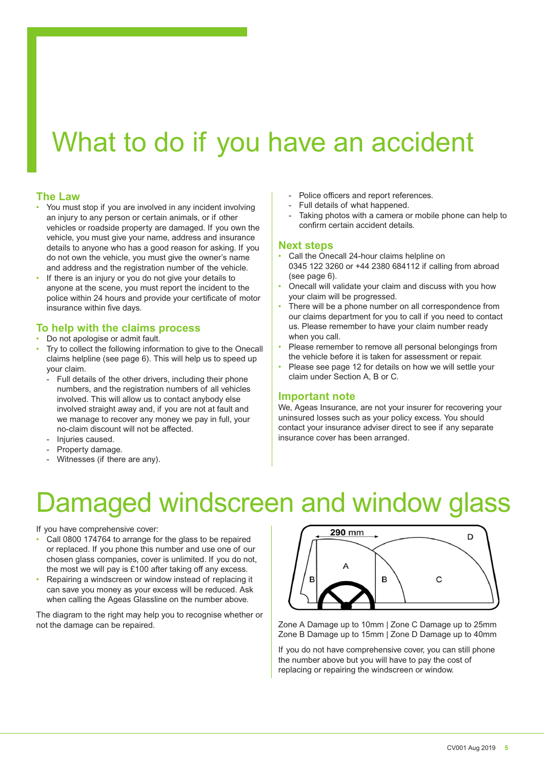# What to do if you have an accident

### **The Law**

- You must stop if you are involved in any incident involving an injury to any person or certain animals, or if other vehicles or roadside property are damaged. If you own the vehicle, you must give your name, address and insurance details to anyone who has a good reason for asking. If you do not own the vehicle, you must give the owner's name and address and the registration number of the vehicle.
- If there is an injury or you do not give your details to anyone at the scene, you must report the incident to the police within 24 hours and provide your certificate of motor insurance within five days.

# **To help with the claims process**

- Do not apologise or admit fault.
- Try to collect the following information to give to the Onecall claims helpline (see page 6). This will help us to speed up your claim.
	- Full details of the other drivers, including their phone numbers, and the registration numbers of all vehicles involved. This will allow us to contact anybody else involved straight away and, if you are not at fault and we manage to recover any money we pay in full, your no-claim discount will not be afected.
	- Injuries caused.
	- Property damage.
	- Witnesses (if there are any).
- Police officers and report references.
- Full details of what happened.
- Taking photos with a camera or mobile phone can help to confirm certain accident details.

### **Next steps**

- Call the Onecall 24-hour claims helpline on 0345 122 3260 or +44 2380 684112 if calling from abroad (see page 6).
- Onecall will validate your claim and discuss with you how your claim will be progressed.
- There will be a phone number on all correspondence from our claims department for you to call if you need to contact us. Please remember to have your claim number ready when you call.
- Please remember to remove all personal belongings from the vehicle before it is taken for assessment or repair.
- Please see page 12 for details on how we will settle your claim under Section A, B or C.

### **Important note**

We, Ageas Insurance, are not your insurer for recovering your uninsured losses such as your policy excess. You should contact your insurance adviser direct to see if any separate insurance cover has been arranged.

# amaged windscreen and window glass

If you have comprehensive cover:

- Call 0800 174764 to arrange for the glass to be repaired or replaced. If you phone this number and use one of our chosen glass companies, cover is unlimited. If you do not, the most we will pay is  $£100$  after taking off any excess.
- Repairing a windscreen or window instead of replacing it can save you money as your excess will be reduced. Ask when calling the Ageas Glassline on the number above.

The diagram to the right may help you to recognise whether or not the damage can be repaired.



Zone A Damage up to 10mm | Zone C Damage up to 25mm Zone B Damage up to 15mm | Zone D Damage up to 40mm

If you do not have comprehensive cover, you can still phone the number above but you will have to pay the cost of replacing or repairing the windscreen or window.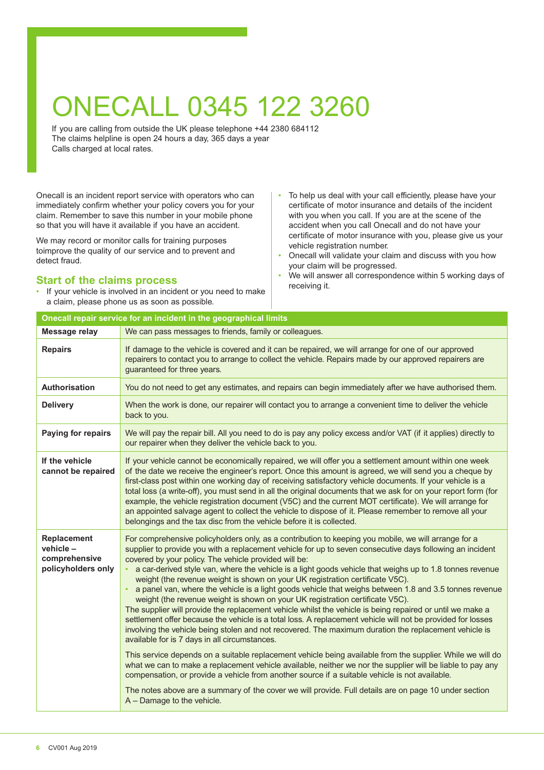# ONECALL 0345 122 3260

If you are calling from outside the UK please telephone +44 2380 684112 The claims helpline is open 24 hours a day, 365 days a year Calls charged at local rates.

Onecall is an incident report service with operators who can immediately confirm whether your policy covers you for your claim. Remember to save this number in your mobile phone so that you will have it available if you have an accident.

We may record or monitor calls for training purposes toimprove the quality of our service and to prevent and detect fraud.

# **Start of the claims process**

• If your vehicle is involved in an incident or you need to make a claim, please phone us as soon as possible.

**Onecall repair service for an incident in the geographical limits** 

- To help us deal with your call efficiently, please have your certificate of motor insurance and details of the incident with you when you call. If you are at the scene of the accident when you call Onecall and do not have your certificate of motor insurance with you, please give us your vehicle registration number.
- Onecall will validate your claim and discuss with you how your claim will be progressed.
- We will answer all correspondence within 5 working days of receiving it.

| <b>Message relay</b>                                                     | We can pass messages to friends, family or colleagues.                                                                                                                                                                                                                                                                                                                                                                                                                                                                                                                                                                                                                                                                                                                                                                                                                                                                                                                                                                                                                                                                                                                                                                                                                                                                                                                                                                                                                                                                          |
|--------------------------------------------------------------------------|---------------------------------------------------------------------------------------------------------------------------------------------------------------------------------------------------------------------------------------------------------------------------------------------------------------------------------------------------------------------------------------------------------------------------------------------------------------------------------------------------------------------------------------------------------------------------------------------------------------------------------------------------------------------------------------------------------------------------------------------------------------------------------------------------------------------------------------------------------------------------------------------------------------------------------------------------------------------------------------------------------------------------------------------------------------------------------------------------------------------------------------------------------------------------------------------------------------------------------------------------------------------------------------------------------------------------------------------------------------------------------------------------------------------------------------------------------------------------------------------------------------------------------|
| <b>Repairs</b>                                                           | If damage to the vehicle is covered and it can be repaired, we will arrange for one of our approved<br>repairers to contact you to arrange to collect the vehicle. Repairs made by our approved repairers are<br>guaranteed for three years.                                                                                                                                                                                                                                                                                                                                                                                                                                                                                                                                                                                                                                                                                                                                                                                                                                                                                                                                                                                                                                                                                                                                                                                                                                                                                    |
| Authorisation                                                            | You do not need to get any estimates, and repairs can begin immediately after we have authorised them.                                                                                                                                                                                                                                                                                                                                                                                                                                                                                                                                                                                                                                                                                                                                                                                                                                                                                                                                                                                                                                                                                                                                                                                                                                                                                                                                                                                                                          |
| <b>Delivery</b>                                                          | When the work is done, our repairer will contact you to arrange a convenient time to deliver the vehicle<br>back to you.                                                                                                                                                                                                                                                                                                                                                                                                                                                                                                                                                                                                                                                                                                                                                                                                                                                                                                                                                                                                                                                                                                                                                                                                                                                                                                                                                                                                        |
| Paying for repairs                                                       | We will pay the repair bill. All you need to do is pay any policy excess and/or VAT (if it applies) directly to<br>our repairer when they deliver the vehicle back to you.                                                                                                                                                                                                                                                                                                                                                                                                                                                                                                                                                                                                                                                                                                                                                                                                                                                                                                                                                                                                                                                                                                                                                                                                                                                                                                                                                      |
| If the vehicle<br>cannot be repaired                                     | If your vehicle cannot be economically repaired, we will offer you a settlement amount within one week<br>of the date we receive the engineer's report. Once this amount is agreed, we will send you a cheque by<br>first-class post within one working day of receiving satisfactory vehicle documents. If your vehicle is a<br>total loss (a write-off), you must send in all the original documents that we ask for on your report form (for<br>example, the vehicle registration document (V5C) and the current MOT certificate). We will arrange for<br>an appointed salvage agent to collect the vehicle to dispose of it. Please remember to remove all your<br>belongings and the tax disc from the vehicle before it is collected.                                                                                                                                                                                                                                                                                                                                                                                                                                                                                                                                                                                                                                                                                                                                                                                     |
| <b>Replacement</b><br>$vehicle -$<br>comprehensive<br>policyholders only | For comprehensive policyholders only, as a contribution to keeping you mobile, we will arrange for a<br>supplier to provide you with a replacement vehicle for up to seven consecutive days following an incident<br>covered by your policy. The vehicle provided will be:<br>a car-derived style van, where the vehicle is a light goods vehicle that weighs up to 1.8 tonnes revenue<br>weight (the revenue weight is shown on your UK registration certificate V5C).<br>a panel van, where the vehicle is a light goods vehicle that weighs between 1.8 and 3.5 tonnes revenue<br>weight (the revenue weight is shown on your UK registration certificate V5C).<br>The supplier will provide the replacement vehicle whilst the vehicle is being repaired or until we make a<br>settlement offer because the vehicle is a total loss. A replacement vehicle will not be provided for losses<br>involving the vehicle being stolen and not recovered. The maximum duration the replacement vehicle is<br>available for is 7 days in all circumstances.<br>This service depends on a suitable replacement vehicle being available from the supplier. While we will do<br>what we can to make a replacement vehicle available, neither we nor the supplier will be liable to pay any<br>compensation, or provide a vehicle from another source if a suitable vehicle is not available.<br>The notes above are a summary of the cover we will provide. Full details are on page 10 under section<br>$A$ – Damage to the vehicle. |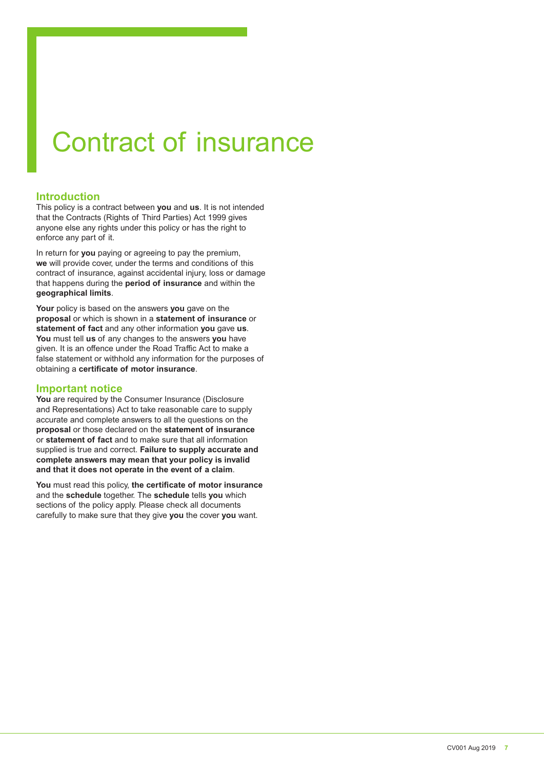# Contract of insurance

# **Introduction**

This policy is a contract between **you** and **us**. It is not intended that the Contracts (Rights of Third Parties) Act 1999 gives anyone else any rights under this policy or has the right to enforce any part of it.

In return for **you** paying or agreeing to pay the premium, **we** will provide cover, under the terms and conditions of this contract of insurance, against accidental injury, loss or damage that happens during the **period of insurance** and within the **geographical limits**.

**Your** policy is based on the answers **you** gave on the **proposal** or which is shown in a **statement of insurance** or **statement of fact** and any other information **you** gave **us**. **You** must tell **us** of any changes to the answers **you** have given. It is an offence under the Road Traffic Act to make a false statement or withhold any information for the purposes of obtaining a **certificate of motor insurance**.

# **Important notice**

**You** are required by the Consumer Insurance (Disclosure and Representations) Act to take reasonable care to supply accurate and complete answers to all the questions on the **proposal** or those declared on the **statement of insurance** or **statement of fact** and to make sure that all information supplied is true and correct. **Failure to supply accurate and complete answers may mean that your policy is invalid and that it does not operate in the event of a claim**.

**You** must read this policy, **the certificate of motor insurance** and the **schedule** together. The **schedule** tells **you** which sections of the policy apply. Please check all documents carefully to make sure that they give **you** the cover **you** want.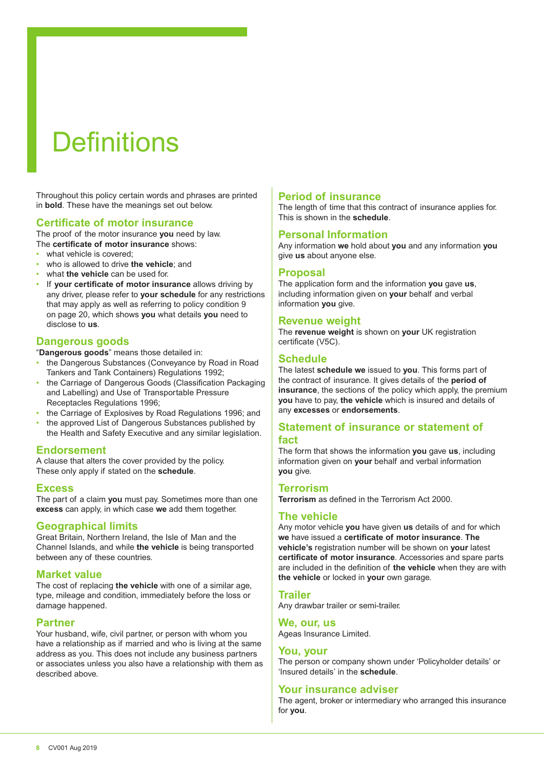# **Definitions**

Throughout this policy certain words and phrases are printed in **bold**. These have the meanings set out below.

## **Certificate of motor insurance**

The proof of the motor insurance **you** need by law. The **certificate of motor insurance** shows:

- what vehicle is covered:
- who is allowed to drive **the vehicle**; and
- what **the vehicle** can be used for.
- If **your certificate of motor insurance** allows driving by any driver, please refer to **your schedule** for any restrictions that may apply as well as referring to policy condition 9 on page 20, which shows **you** what details **you** need to disclose to **us**.

# **Dangerous goods**

"**Dangerous goods**" means those detailed in:

- the Dangerous Substances (Conveyance by Road in Road Tankers and Tank Containers) Regulations 1992;
- the Carriage of Dangerous Goods (Classification Packaging and Labelling) and Use of Transportable Pressure Receptacles Regulations 1996;
- the Carriage of Explosives by Road Regulations 1996; and
- the approved List of Dangerous Substances published by the Health and Safety Executive and any similar legislation.

## **Endorsement**

A clause that alters the cover provided by the policy. These only apply if stated on the **schedule**.

## **Excess**

The part of a claim **you** must pay. Sometimes more than one **excess** can apply, in which case **we** add them together.

# **Geographical limits**

Great Britain, Northern Ireland, the Isle of Man and the Channel Islands, and while **the vehicle** is being transported between any of these countries.

## **Market value**

The cost of replacing **the vehicle** with one of a similar age, type, mileage and condition, immediately before the loss or damage happened.

## **Partner**

Your husband, wife, civil partner, or person with whom you have a relationship as if married and who is living at the same address as you. This does not include any business partners or associates unless you also have a relationship with them as described above.

# **Period of insurance**

The length of time that this contract of insurance applies for. This is shown in the **schedule**.

# **Personal Information**

Any information **we** hold about **you** and any information **you** give **us** about anyone else.

## **Proposal**

The application form and the information **you** gave **us**, including information given on **your** behalf and verbal information **you** give.

## **Revenue weight**

The **revenue weight** is shown on **your** UK registration certificate (V5C).

# **Schedule**

The latest **schedule we** issued to **you**. This forms part of the contract of insurance. It gives details of the **period of insurance**, the sections of the policy which apply, the premium **you** have to pay, **the vehicle** which is insured and details of any **excesses** or **endorsements**.

# **Statement of insurance or statement of**

### **fact**

The form that shows the information **you** gave **us**, including information given on **your** behalf and verbal information **you** give.

### **Terrorism**

**Terrorism** as deined in the Terrorism Act 2000.

## **The vehicle**

Any motor vehicle **you** have given **us** details of and for which **we** have issued a **certificate of motor insurance**. **The vehicle's** registration number will be shown on **your** latest **certificate of motor insurance**. Accessories and spare parts are included in the deinition of **the vehicle** when they are with **the vehicle** or locked in **your** own garage.

### **Trailer**

Any drawbar trailer or semi-trailer.

## **We, our, us**

Ageas Insurance Limited.

## **You, your**

The person or company shown under 'Policyholder details' or 'Insured details' in the **schedule**.

## **Your insurance adviser**

The agent, broker or intermediary who arranged this insurance for **you**.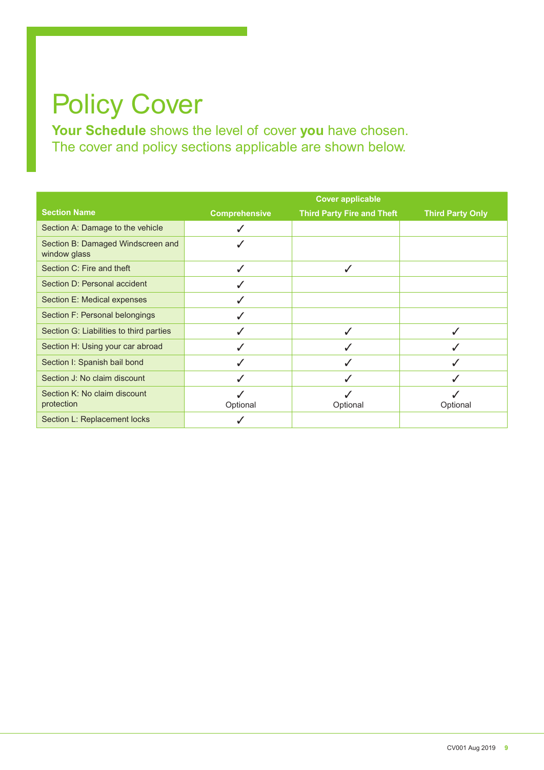# Policy Cover

**Your Schedule** shows the level of cover **you** have chosen. The cover and policy sections applicable are shown below.

|                                                   |                      | <b>Cover applicable</b>           |                         |
|---------------------------------------------------|----------------------|-----------------------------------|-------------------------|
| <b>Section Name</b>                               | <b>Comprehensive</b> | <b>Third Party Fire and Theft</b> | <b>Third Party Only</b> |
| Section A: Damage to the vehicle                  | J                    |                                   |                         |
| Section B: Damaged Windscreen and<br>window glass | J                    |                                   |                         |
| Section C: Fire and theft                         | J                    | J                                 |                         |
| Section D: Personal accident                      |                      |                                   |                         |
| Section E: Medical expenses                       | ✓                    |                                   |                         |
| Section F: Personal belongings                    | ✓                    |                                   |                         |
| Section G: Liabilities to third parties           | J                    | J                                 | ✓                       |
| Section H: Using your car abroad                  |                      |                                   |                         |
| Section I: Spanish bail bond                      | ✓                    |                                   | ✓                       |
| Section J: No claim discount                      | ✓                    |                                   | √                       |
| Section K: No claim discount<br>protection        | Optional             | Optional                          | Optional                |
| Section L: Replacement locks                      |                      |                                   |                         |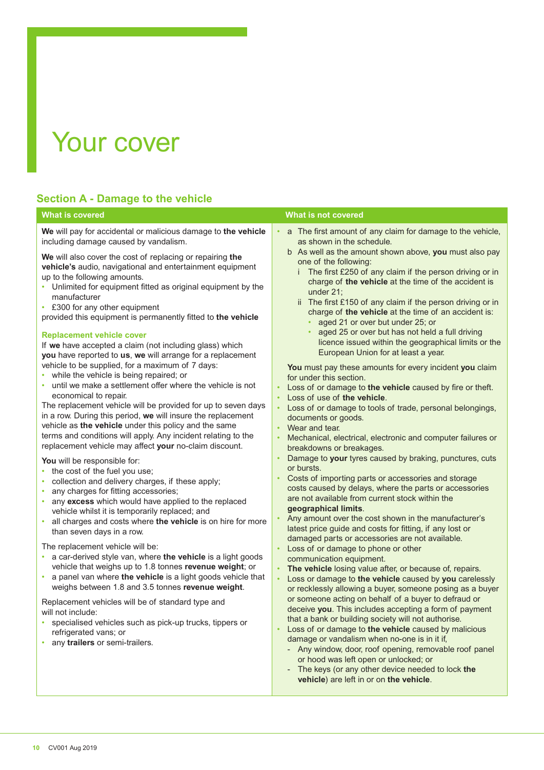# Your cover

# **Section A - Damage to the vehicle**

**We** will pay for accidental or malicious damage to **the vehicle** including damage caused by vandalism.

**We** will also cover the cost of replacing or repairing **the vehicle's** audio, navigational and entertainment equipment up to the following amounts.

- Unlimited for equipment fitted as original equipment by the manufacturer
- £300 for any other equipment
- provided this equipment is permanently itted to **the vehicle**

### **Replacement vehicle cover**

If **we** have accepted a claim (not including glass) which **you** have reported to **us**, **we** will arrange for a replacement vehicle to be supplied, for a maximum of 7 days:

- while the vehicle is being repaired; or
- until we make a settlement offer where the vehicle is not economical to repair.

The replacement vehicle will be provided for up to seven days in a row. During this period, **we** will insure the replacement vehicle as **the vehicle** under this policy and the same terms and conditions will apply. Any incident relating to the replacement vehicle may afect **your** no-claim discount.

**You** will be responsible for:

- the cost of the fuel you use;
- collection and delivery charges, if these apply;
- any charges for fitting accessories;
- any **excess** which would have applied to the replaced vehicle whilst it is temporarily replaced; and
- all charges and costs where **the vehicle** is on hire for more than seven days in a row.

The replacement vehicle will be:

- a car-derived style van, where **the vehicle** is a light goods vehicle that weighs up to 1.8 tonnes **revenue weight**; or
- a panel van where **the vehicle** is a light goods vehicle that weighs between 1.8 and 3.5 tonnes **revenue weight**.

Replacement vehicles will be of standard type and will not include:

- specialised vehicles such as pick-up trucks, tippers or refrigerated vans; or
- any **trailers** or semi-trailers.

### **What is covered What is not covered**

- a The first amount of any claim for damage to the vehicle, as shown in the schedule.
	- b As well as the amount shown above, **you** must also pay one of the following:
		- The first £250 of any claim if the person driving or in charge of **the vehicle** at the time of the accident is under 21;
		- ii The first £150 of any claim if the person driving or in charge of **the vehicle** at the time of an accident is:
			- aged 21 or over but under 25; or
			- aged 25 or over but has not held a full driving licence issued within the geographical limits or the European Union for at least a year.

 **You** must pay these amounts for every incident **you** claim for under this section.

- Loss of or damage to the vehicle caused by fire or theft.
- Loss of use of **the vehicle**.
- Loss of or damage to tools of trade, personal belongings, documents or goods.
- Wear and tear.
- Mechanical, electrical, electronic and computer failures or breakdowns or breakages.
- Damage to **your** tyres caused by braking, punctures, cuts or bursts.
- Costs of importing parts or accessories and storage costs caused by delays, where the parts or accessories are not available from current stock within the **geographical limits**.
- Any amount over the cost shown in the manufacturer's latest price guide and costs for itting, if any lost or damaged parts or accessories are not available.
- Loss of or damage to phone or other communication equipment.
- The vehicle losing value after, or because of, repairs.
- Loss or damage to **the vehicle** caused by **you** carelessly or recklessly allowing a buyer, someone posing as a buyer or someone acting on behalf of a buyer to defraud or deceive **you**. This includes accepting a form of payment that a bank or building society will not authorise.
- Loss of or damage to **the vehicle** caused by malicious damage or vandalism when no-one is in it if,
	- Any window, door, roof opening, removable roof panel or hood was left open or unlocked; or
	- The keys (or any other device needed to lock the **vehicle**) are left in or on **the vehicle**.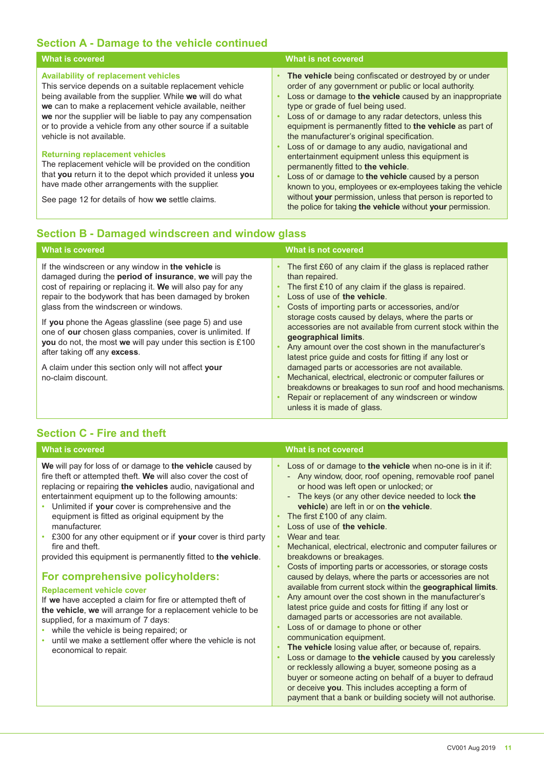# **Section A - Damage to the vehicle continued**

| <b>What is covered</b>                                                                                                                                                                                                                                                                                                                                                                 | What is not covered                                                                                                                                                                                                                                                                                                                                                                         |
|----------------------------------------------------------------------------------------------------------------------------------------------------------------------------------------------------------------------------------------------------------------------------------------------------------------------------------------------------------------------------------------|---------------------------------------------------------------------------------------------------------------------------------------------------------------------------------------------------------------------------------------------------------------------------------------------------------------------------------------------------------------------------------------------|
| <b>Availability of replacement vehicles</b><br>This service depends on a suitable replacement vehicle<br>being available from the supplier. While we will do what<br>we can to make a replacement vehicle available, neither<br>we nor the supplier will be liable to pay any compensation<br>or to provide a vehicle from any other source if a suitable<br>vehicle is not available. | The vehicle being confiscated or destroyed by or under<br>order of any government or public or local authority.<br>Loss or damage to the vehicle caused by an inappropriate<br>type or grade of fuel being used.<br>Loss of or damage to any radar detectors, unless this<br>equipment is permanently fitted to the vehicle as part of<br>the manufacturer's original specification.        |
| <b>Returning replacement vehicles</b><br>The replacement vehicle will be provided on the condition<br>that you return it to the depot which provided it unless you<br>have made other arrangements with the supplier.<br>See page 12 for details of how we settle claims.                                                                                                              | Loss of or damage to any audio, navigational and<br>entertainment equipment unless this equipment is<br>permanently fitted to the vehicle.<br>Loss of or damage to the vehicle caused by a person<br>known to you, employees or ex-employees taking the vehicle<br>without your permission, unless that person is reported to<br>the police for taking the vehicle without your permission. |

# **Section B - Damaged windscreen and window glass**

| <b>What is covered</b>                                                                                                                                                                                                                                                                                                                                                                                                                                                                                                                                                            | What is not covered                                                                                                                                                                                                                                                                                                                                                                                                                                                                                                                                                                                                                                                                                                                                     |
|-----------------------------------------------------------------------------------------------------------------------------------------------------------------------------------------------------------------------------------------------------------------------------------------------------------------------------------------------------------------------------------------------------------------------------------------------------------------------------------------------------------------------------------------------------------------------------------|---------------------------------------------------------------------------------------------------------------------------------------------------------------------------------------------------------------------------------------------------------------------------------------------------------------------------------------------------------------------------------------------------------------------------------------------------------------------------------------------------------------------------------------------------------------------------------------------------------------------------------------------------------------------------------------------------------------------------------------------------------|
| If the windscreen or any window in the vehicle is<br>damaged during the period of insurance, we will pay the<br>cost of repairing or replacing it. We will also pay for any<br>repair to the bodywork that has been damaged by broken<br>glass from the windscreen or windows.<br>If you phone the Ageas glassline (see page 5) and use<br>one of our chosen glass companies, cover is unlimited. If<br>you do not, the most we will pay under this section is £100<br>after taking off any excess.<br>A claim under this section only will not affect your<br>no-claim discount. | The first £60 of any claim if the glass is replaced rather<br>than repaired.<br>The first £10 of any claim if the glass is repaired.<br>Loss of use of the vehicle.<br>Costs of importing parts or accessories, and/or<br>storage costs caused by delays, where the parts or<br>accessories are not available from current stock within the<br>geographical limits.<br>Any amount over the cost shown in the manufacturer's<br>latest price guide and costs for fitting if any lost or<br>damaged parts or accessories are not available.<br>Mechanical, electrical, electronic or computer failures or<br>breakdowns or breakages to sun roof and hood mechanisms.<br>Repair or replacement of any windscreen or window<br>unless it is made of glass. |

# **Section C - Fire and theft**

| <b>What is covered</b>                                                                                                                                                                                                                                                                                                                                                                                                                                                                                                                                                                                                                                                                                                                                                                                                                                                                                         | <b>What is not covered</b>                                                                                                                                                                                                                                                                                                                                                                                                                                                                                                                                                                                                                                                                                                                                                                                                                                                                                                                                                                                                                                                                                                                                                                                                                                            |
|----------------------------------------------------------------------------------------------------------------------------------------------------------------------------------------------------------------------------------------------------------------------------------------------------------------------------------------------------------------------------------------------------------------------------------------------------------------------------------------------------------------------------------------------------------------------------------------------------------------------------------------------------------------------------------------------------------------------------------------------------------------------------------------------------------------------------------------------------------------------------------------------------------------|-----------------------------------------------------------------------------------------------------------------------------------------------------------------------------------------------------------------------------------------------------------------------------------------------------------------------------------------------------------------------------------------------------------------------------------------------------------------------------------------------------------------------------------------------------------------------------------------------------------------------------------------------------------------------------------------------------------------------------------------------------------------------------------------------------------------------------------------------------------------------------------------------------------------------------------------------------------------------------------------------------------------------------------------------------------------------------------------------------------------------------------------------------------------------------------------------------------------------------------------------------------------------|
| We will pay for loss of or damage to the vehicle caused by<br>fire theft or attempted theft. We will also cover the cost of<br>replacing or repairing the vehicles audio, navigational and<br>entertainment equipment up to the following amounts:<br>Unlimited if your cover is comprehensive and the<br>equipment is fitted as original equipment by the<br>manufacturer.<br>• £300 for any other equipment or if your cover is third party<br>fire and theft.<br>provided this equipment is permanently fitted to the vehicle.<br>For comprehensive policyholders:<br><b>Replacement vehicle cover</b><br>If we have accepted a claim for fire or attempted theft of<br>the vehicle, we will arrange for a replacement vehicle to be<br>supplied, for a maximum of 7 days:<br>while the vehicle is being repaired; or<br>until we make a settlement offer where the vehicle is not<br>economical to repair. | Loss of or damage to the vehicle when no-one is in it if:<br>- Any window, door, roof opening, removable roof panel<br>or hood was left open or unlocked; or<br>The keys (or any other device needed to lock the<br>$\overline{\phantom{a}}$<br>vehicle) are left in or on the vehicle.<br>The first £100 of any claim.<br>Loss of use of the vehicle.<br>Wear and tear.<br>Mechanical, electrical, electronic and computer failures or<br>×<br>breakdowns or breakages.<br>Costs of importing parts or accessories, or storage costs<br>caused by delays, where the parts or accessories are not<br>available from current stock within the geographical limits.<br>Any amount over the cost shown in the manufacturer's<br>latest price guide and costs for fitting if any lost or<br>damaged parts or accessories are not available.<br>Loss of or damage to phone or other<br>communication equipment.<br>The vehicle losing value after, or because of, repairs.<br>Loss or damage to the vehicle caused by you carelessly<br>or recklessly allowing a buyer, someone posing as a<br>buyer or someone acting on behalf of a buyer to defraud<br>or deceive you. This includes accepting a form of<br>payment that a bank or building society will not authorise. |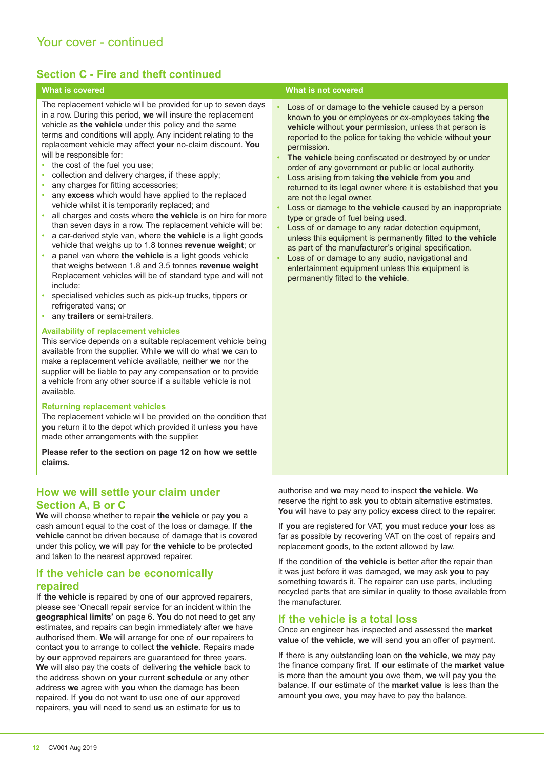# **Section C - Fire and theft continued**

The replacement vehicle will be provided for up to seven days in a row. During this period, **we** will insure the replacement vehicle as **the vehicle** under this policy and the same terms and conditions will apply. Any incident relating to the replacement vehicle may afect **your** no-claim discount. **You**  will be responsible for:

- the cost of the fuel you use;
- collection and delivery charges, if these apply;
- any charges for fitting accessories;
- any **excess** which would have applied to the replaced vehicle whilst it is temporarily replaced; and
- all charges and costs where **the vehicle** is on hire for more than seven days in a row. The replacement vehicle will be:
- a car-derived style van, where **the vehicle** is a light goods vehicle that weighs up to 1.8 tonnes **revenue weight**; or
- a panel van where **the vehicle** is a light goods vehicle that weighs between 1.8 and 3.5 tonnes **revenue weight** Replacement vehicles will be of standard type and will not include:
- specialised vehicles such as pick-up trucks, tippers or refrigerated vans; or
- any **trailers** or semi-trailers.

### **Availability of replacement vehicles**

This service depends on a suitable replacement vehicle being available from the supplier. While **we** will do what **we** can to make a replacement vehicle available, neither **we** nor the supplier will be liable to pay any compensation or to provide a vehicle from any other source if a suitable vehicle is not available.

### **Returning replacement vehicles**

The replacement vehicle will be provided on the condition that **you** return it to the depot which provided it unless **you** have made other arrangements with the supplier.

**Please refer to the section on page 12 on how we settle claims.**

# **How we will settle your claim under Section A, B or C**

**We** will choose whether to repair **the vehicle** or pay **you** a cash amount equal to the cost of the loss or damage. If **the vehicle** cannot be driven because of damage that is covered under this policy, **we** will pay for **the vehicle** to be protected and taken to the nearest approved repairer.

# **If the vehicle can be economically repaired**

If **the vehicle** is repaired by one of **our** approved repairers, please see 'Onecall repair service for an incident within the **geographical limits'** on page 6. **You** do not need to get any estimates, and repairs can begin immediately after **we** have authorised them. **We** will arrange for one of **our** repairers to contact **you** to arrange to collect **the vehicle**. Repairs made by **our** approved repairers are guaranteed for three years. **We** will also pay the costs of delivering **the vehicle** back to the address shown on **your** current **schedule** or any other address **we** agree with **you** when the damage has been repaired. If **you** do not want to use one of **our** approved repairers, **you** will need to send **us** an estimate for **us** to

### **What is covered What is not covered**

- Loss of or damage to **the vehicle** caused by a person known to **you** or employees or ex-employees taking **the vehicle** without **your** permission, unless that person is reported to the police for taking the vehicle without **your** permission.
- **The vehicle** being confiscated or destroyed by or under order of any government or public or local authority.
- Loss arising from taking **the vehicle** from **you** and returned to its legal owner where it is established that **you** are not the legal owner.
- Loss or damage to **the vehicle** caused by an inappropriate type or grade of fuel being used.
- Loss of or damage to any radar detection equipment, unless this equipment is permanently itted to **the vehicle** as part of the manufacturer's original specification.
- Loss of or damage to any audio, navigational and entertainment equipment unless this equipment is permanently itted to **the vehicle**.

authorise and **we** may need to inspect **the vehicle**. **We**  reserve the right to ask **you** to obtain alternative estimates. **You** will have to pay any policy **excess** direct to the repairer.

If **you** are registered for VAT, **you** must reduce **your** loss as far as possible by recovering VAT on the cost of repairs and replacement goods, to the extent allowed by law.

If the condition of **the vehicle** is better after the repair than it was just before it was damaged, **we** may ask **you** to pay something towards it. The repairer can use parts, including recycled parts that are similar in quality to those available from the manufacturer.

## **If the vehicle is a total loss**

Once an engineer has inspected and assessed the **market value** of **the vehicle**, **we** will send **you** an ofer of payment.

If there is any outstanding loan on **the vehicle**, **we** may pay the inance company irst. If **our** estimate of the **market value** is more than the amount **you** owe them, **we** will pay **you** the balance. If **our** estimate of the **market value** is less than the amount **you** owe, **you** may have to pay the balance.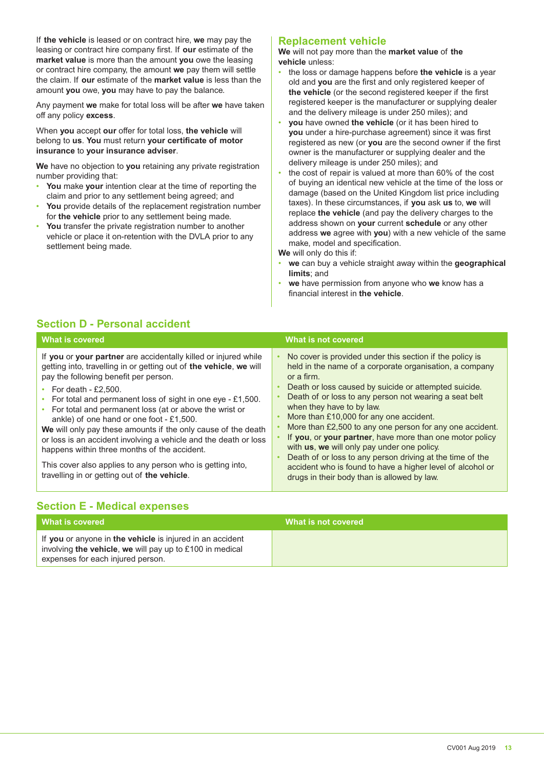If **the vehicle** is leased or on contract hire, **we** may pay the leasing or contract hire company irst. If **our** estimate of the **market value** is more than the amount **you** owe the leasing or contract hire company, the amount **we** pay them will settle the claim. If **our** estimate of the **market value** is less than the amount **you** owe, **you** may have to pay the balance.

Any payment **we** make for total loss will be after **we** have taken off any policy excess.

When **you** accept **our** ofer for total loss, **the vehicle** will belong to **us**. **You** must return **your certificate of motor insurance** to **your insurance adviser**.

**We** have no objection to **you** retaining any private registration number providing that:

- **You** make **your** intention clear at the time of reporting the claim and prior to any settlement being agreed; and
- **You** provide details of the replacement registration number for **the vehicle** prior to any settlement being made.
- **You** transfer the private registration number to another vehicle or place it on-retention with the DVLA prior to any settlement being made.

# **Replacement vehicle**

**We** will not pay more than the **market value** of **the vehicle** unless:

- the loss or damage happens before **the vehicle** is a year old and **you** are the irst and only registered keeper of the vehicle (or the second registered keeper if the first registered keeper is the manufacturer or supplying dealer and the delivery mileage is under 250 miles); and
- **you** have owned **the vehicle** (or it has been hired to **you** under a hire-purchase agreement) since it was first registered as new (or **you** are the second owner if the irst owner is the manufacturer or supplying dealer and the delivery mileage is under 250 miles); and
- the cost of repair is valued at more than 60% of the cost of buying an identical new vehicle at the time of the loss or damage (based on the United Kingdom list price including taxes). In these circumstances, if **you** ask **us** to, **we** will replace **the vehicle** (and pay the delivery charges to the address shown on **your** current **schedule** or any other address **we** agree with **you**) with a new vehicle of the same make, model and specification.
- **We** will only do this if:
- **we** can buy a vehicle straight away within the **geographical limits**; and
- **we** have permission from anyone who **we** know has a inancial interest in **the vehicle**.

# **Section D - Personal accident**

| <b>What is covered</b>                                                                                                                                                                                                                                                                                                                                                                                                                                                                                                                                                                                                                                                           | What is not covered                                                                                                                                                                                                                                                                                                                                                                                                                                                                                                                                                                                                                                                           |
|----------------------------------------------------------------------------------------------------------------------------------------------------------------------------------------------------------------------------------------------------------------------------------------------------------------------------------------------------------------------------------------------------------------------------------------------------------------------------------------------------------------------------------------------------------------------------------------------------------------------------------------------------------------------------------|-------------------------------------------------------------------------------------------------------------------------------------------------------------------------------------------------------------------------------------------------------------------------------------------------------------------------------------------------------------------------------------------------------------------------------------------------------------------------------------------------------------------------------------------------------------------------------------------------------------------------------------------------------------------------------|
| If you or your partner are accidentally killed or injured while<br>getting into, travelling in or getting out of the vehicle, we will<br>pay the following benefit per person.<br>• For death - £2,500.<br>For total and permanent loss of sight in one eye - £1,500.<br>• For total and permanent loss (at or above the wrist or<br>ankle) of one hand or one foot - £1,500.<br>We will only pay these amounts if the only cause of the death<br>or loss is an accident involving a vehicle and the death or loss<br>happens within three months of the accident.<br>This cover also applies to any person who is getting into,<br>travelling in or getting out of the vehicle. | No cover is provided under this section if the policy is<br>held in the name of a corporate organisation, a company<br>or a firm.<br>Death or loss caused by suicide or attempted suicide.<br>Death of or loss to any person not wearing a seat belt<br>when they have to by law.<br>More than £10,000 for any one accident.<br>More than £2,500 to any one person for any one accident.<br>If you, or your partner, have more than one motor policy<br>with us, we will only pay under one policy.<br>Death of or loss to any person driving at the time of the<br>accident who is found to have a higher level of alcohol or<br>drugs in their body than is allowed by law. |

# **Section E - Medical expenses**

| l What is covered                                                                             | What is not covered |
|-----------------------------------------------------------------------------------------------|---------------------|
| If you or anyone in the vehicle is injured in an accident                                     |                     |
| involving the vehicle, we will pay up to £100 in medical<br>expenses for each injured person. |                     |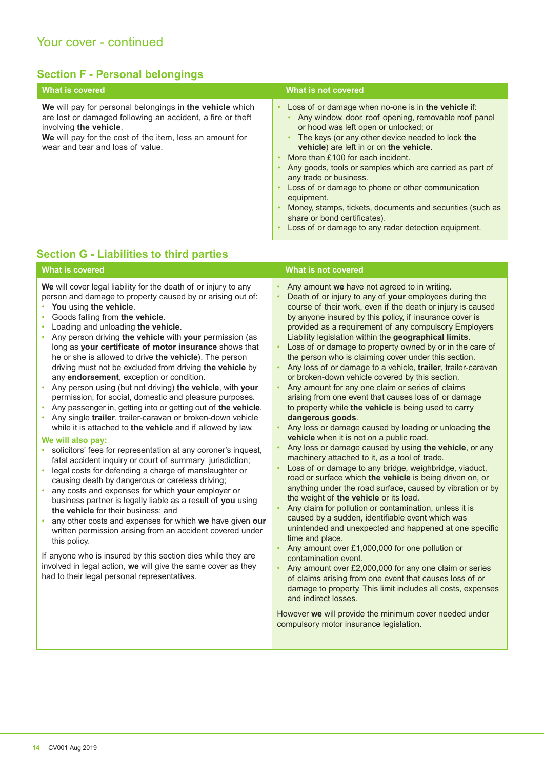# **Section F - Personal belongings**

| <b>What is covered</b>                                                                                                                                                                                                                           | What is not covered                                                                                                                                                                                                                                                                                                                                                                                                                                                                                                                                                                                   |
|--------------------------------------------------------------------------------------------------------------------------------------------------------------------------------------------------------------------------------------------------|-------------------------------------------------------------------------------------------------------------------------------------------------------------------------------------------------------------------------------------------------------------------------------------------------------------------------------------------------------------------------------------------------------------------------------------------------------------------------------------------------------------------------------------------------------------------------------------------------------|
| We will pay for personal belongings in the vehicle which<br>are lost or damaged following an accident, a fire or theft<br>involving the vehicle.<br>We will pay for the cost of the item, less an amount for<br>wear and tear and loss of value. | Loss of or damage when no-one is in the vehicle if:<br>Any window, door, roof opening, removable roof panel<br>or hood was left open or unlocked; or<br>The keys (or any other device needed to lock the<br>vehicle) are left in or on the vehicle.<br>More than £100 for each incident.<br>Any goods, tools or samples which are carried as part of<br>any trade or business.<br>Loss of or damage to phone or other communication<br>equipment.<br>Money, stamps, tickets, documents and securities (such as<br>share or bond certificates).<br>Loss of or damage to any radar detection equipment. |
| <b>Section G - Liabilities to third parties</b>                                                                                                                                                                                                  |                                                                                                                                                                                                                                                                                                                                                                                                                                                                                                                                                                                                       |

### **What is covered What is not covered** What is not covered We will cover legal liability for the death of or injury to any person and damage to property caused by or arising out of: • **You** using **the vehicle**. • Goods falling from **the vehicle**. • Loading and unloading **the vehicle**. • Any person driving **the vehicle** with **your** permission (as long as **your certificate of motor insurance** shows that he or she is allowed to drive **the vehicle**). The person driving must not be excluded from driving **the vehicle** by any **endorsement**, exception or condition. • Any person using (but not driving) **the vehicle**, with **your**  permission, for social, domestic and pleasure purposes. • Any passenger in, getting into or getting out of **the vehicle**. • Any single **trailer**, trailer-caravan or broken-down vehicle while it is attached to **the vehicle** and if allowed by law. **We will also pay:**  • solicitors' fees for representation at any coroner's inquest, fatal accident inquiry or court of summary jurisdiction; legal costs for defending a charge of manslaughter or causing death by dangerous or careless driving; • any costs and expenses for which **your** employer or business partner is legally liable as a result of **you** using **the vehicle** for their business; and • any other costs and expenses for which **we** have given **our**  written permission arising from an accident covered under this policy. If anyone who is insured by this section dies while they are involved in legal action, **we** will give the same cover as they had to their legal personal representatives. • Any amount **we** have not agreed to in writing. • Death of or injury to any of **your** employees during the course of their work, even if the death or injury is caused by anyone insured by this policy, if insurance cover is provided as a requirement of any compulsory Employers Liability legislation within the **geographical limits**. Loss of or damage to property owned by or in the care of the person who is claiming cover under this section. • Any loss of or damage to a vehicle, **trailer**, trailer-caravan or broken-down vehicle covered by this section. Any amount for any one claim or series of claims arising from one event that causes loss of or damage to property while **the vehicle** is being used to carry **dangerous goods**. • Any loss or damage caused by loading or unloading **the vehicle** when it is not on a public road. • Any loss or damage caused by using **the vehicle**, or any machinery attached to it, as a tool of trade. Loss of or damage to any bridge, weighbridge, viaduct, road or surface which **the vehicle** is being driven on, or anything under the road surface, caused by vibration or by the weight of **the vehicle** or its load. • Any claim for pollution or contamination, unless it is caused by a sudden, identifiable event which was unintended and unexpected and happened at one specific time and place. • Any amount over £1,000,000 for one pollution or contamination event. • Any amount over £2,000,000 for any one claim or series of claims arising from one event that causes loss of or damage to property. This limit includes all costs, expenses and indirect losses. However **we** will provide the minimum cover needed under compulsory motor insurance legislation.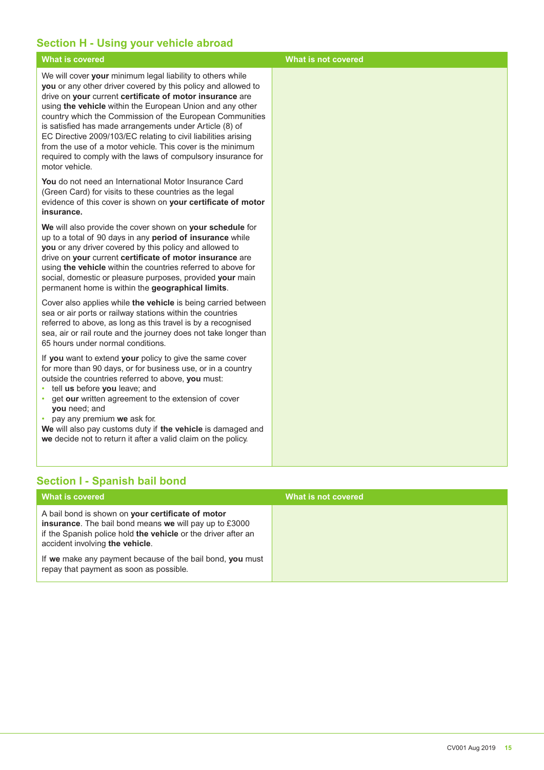# **Section H - Using your vehicle abroad**

| <b>What is covered</b>                                                                                                                                                                                                                                                                                                                                                                                                                                                                                                                                                                        | <b>What is not covered</b> |
|-----------------------------------------------------------------------------------------------------------------------------------------------------------------------------------------------------------------------------------------------------------------------------------------------------------------------------------------------------------------------------------------------------------------------------------------------------------------------------------------------------------------------------------------------------------------------------------------------|----------------------------|
| We will cover your minimum legal liability to others while<br>you or any other driver covered by this policy and allowed to<br>drive on your current certificate of motor insurance are<br>using the vehicle within the European Union and any other<br>country which the Commission of the European Communities<br>is satisfied has made arrangements under Article (8) of<br>EC Directive 2009/103/EC relating to civil liabilities arising<br>from the use of a motor vehicle. This cover is the minimum<br>required to comply with the laws of compulsory insurance for<br>motor vehicle. |                            |
| You do not need an International Motor Insurance Card<br>(Green Card) for visits to these countries as the legal<br>evidence of this cover is shown on your certificate of motor<br>insurance.                                                                                                                                                                                                                                                                                                                                                                                                |                            |
| We will also provide the cover shown on your schedule for<br>up to a total of 90 days in any period of insurance while<br>you or any driver covered by this policy and allowed to<br>drive on your current certificate of motor insurance are<br>using the vehicle within the countries referred to above for<br>social, domestic or pleasure purposes, provided your main<br>permanent home is within the geographical limits.                                                                                                                                                               |                            |
| Cover also applies while the vehicle is being carried between<br>sea or air ports or railway stations within the countries<br>referred to above, as long as this travel is by a recognised<br>sea, air or rail route and the journey does not take longer than<br>65 hours under normal conditions.                                                                                                                                                                                                                                                                                           |                            |
| If you want to extend your policy to give the same cover<br>for more than 90 days, or for business use, or in a country<br>outside the countries referred to above, you must:<br>· tell us before you leave; and<br>get our written agreement to the extension of cover<br>you need; and<br>pay any premium we ask for.<br>$\bullet$<br>We will also pay customs duty if the vehicle is damaged and<br>we decide not to return it after a valid claim on the policy.                                                                                                                          |                            |

# **Section I - Spanish bail bond**

| What is covered                                                                                                                                                                                                 | What is not covered |
|-----------------------------------------------------------------------------------------------------------------------------------------------------------------------------------------------------------------|---------------------|
| A bail bond is shown on your certificate of motor<br>insurance. The bail bond means we will pay up to £3000<br>if the Spanish police hold the vehicle or the driver after an<br>accident involving the vehicle. |                     |
| If we make any payment because of the bail bond, you must<br>repay that payment as soon as possible.                                                                                                            |                     |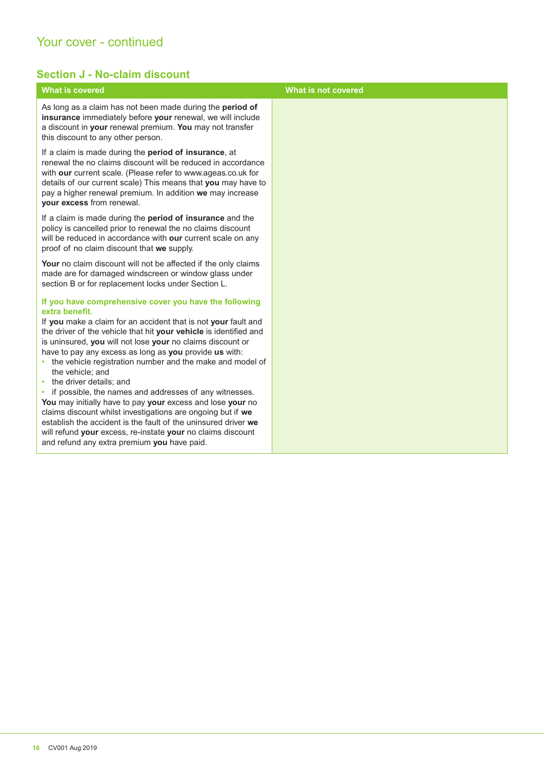# Your cover - continued

# **Section J - No-claim discount**

| <b>What is covered</b>                                                                                                                                                                                                                                                                                                                                                                                                                                                                                                                                                                                                                                                                                                                                                                                                         | What is not covered |
|--------------------------------------------------------------------------------------------------------------------------------------------------------------------------------------------------------------------------------------------------------------------------------------------------------------------------------------------------------------------------------------------------------------------------------------------------------------------------------------------------------------------------------------------------------------------------------------------------------------------------------------------------------------------------------------------------------------------------------------------------------------------------------------------------------------------------------|---------------------|
| As long as a claim has not been made during the period of<br>insurance immediately before your renewal, we will include<br>a discount in your renewal premium. You may not transfer<br>this discount to any other person.                                                                                                                                                                                                                                                                                                                                                                                                                                                                                                                                                                                                      |                     |
| If a claim is made during the <b>period of insurance</b> , at<br>renewal the no claims discount will be reduced in accordance<br>with our current scale. (Please refer to www.ageas.co.uk for<br>details of our current scale) This means that you may have to<br>pay a higher renewal premium. In addition we may increase<br>your excess from renewal.                                                                                                                                                                                                                                                                                                                                                                                                                                                                       |                     |
| If a claim is made during the period of insurance and the<br>policy is cancelled prior to renewal the no claims discount<br>will be reduced in accordance with our current scale on any<br>proof of no claim discount that we supply.                                                                                                                                                                                                                                                                                                                                                                                                                                                                                                                                                                                          |                     |
| Your no claim discount will not be affected if the only claims<br>made are for damaged windscreen or window glass under<br>section B or for replacement locks under Section L.                                                                                                                                                                                                                                                                                                                                                                                                                                                                                                                                                                                                                                                 |                     |
| If you have comprehensive cover you have the following<br>extra benefit.<br>If you make a claim for an accident that is not your fault and<br>the driver of the vehicle that hit your vehicle is identified and<br>is uninsured, you will not lose your no claims discount or<br>have to pay any excess as long as you provide us with:<br>• the vehicle registration number and the make and model of<br>the vehicle; and<br>• the driver details; and<br>if possible, the names and addresses of any witnesses.<br>You may initially have to pay your excess and lose your no<br>claims discount whilst investigations are ongoing but if we<br>establish the accident is the fault of the uninsured driver we<br>will refund your excess, re-instate your no claims discount<br>and refund any extra premium you have paid. |                     |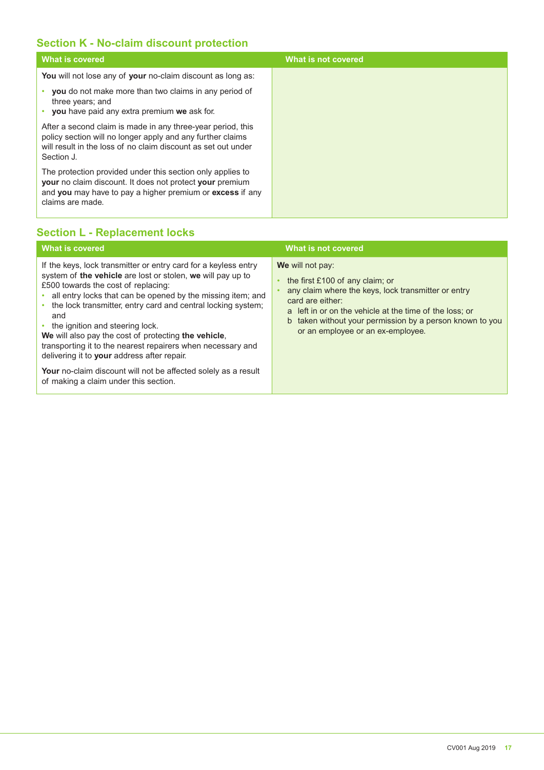# **Section K - No-claim discount protection**

| <b>What is covered</b>                                                                                                                                                                                         | What is not covered |
|----------------------------------------------------------------------------------------------------------------------------------------------------------------------------------------------------------------|---------------------|
| You will not lose any of your no-claim discount as long as:                                                                                                                                                    |                     |
| <b>you</b> do not make more than two claims in any period of<br>three years; and<br>you have paid any extra premium we ask for.                                                                                |                     |
| After a second claim is made in any three-year period, this<br>policy section will no longer apply and any further claims<br>will result in the loss of no claim discount as set out under<br>Section J.       |                     |
| The protection provided under this section only applies to<br><b>your</b> no claim discount. It does not protect your premium<br>and you may have to pay a higher premium or excess if any<br>claims are made. |                     |

# **Section L - Replacement locks**

| <b>What is covered</b>                                                                                                                                                                                                                                                                                                                                                                                                                                                                                                              | What is not covered                                                                                                                                                                                                                                                                        |
|-------------------------------------------------------------------------------------------------------------------------------------------------------------------------------------------------------------------------------------------------------------------------------------------------------------------------------------------------------------------------------------------------------------------------------------------------------------------------------------------------------------------------------------|--------------------------------------------------------------------------------------------------------------------------------------------------------------------------------------------------------------------------------------------------------------------------------------------|
| If the keys, lock transmitter or entry card for a keyless entry<br>system of the vehicle are lost or stolen, we will pay up to<br>£500 towards the cost of replacing:<br>all entry locks that can be opened by the missing item; and<br>the lock transmitter, entry card and central locking system;<br>$\bullet$<br>and<br>• the ignition and steering lock.<br>We will also pay the cost of protecting the vehicle.<br>transporting it to the nearest repairers when necessary and<br>delivering it to your address after repair. | We will not pay:<br>the first £100 of any claim; or<br>any claim where the keys, lock transmitter or entry<br>card are either:<br>a left in or on the vehicle at the time of the loss; or<br>b taken without your permission by a person known to you<br>or an employee or an ex-employee. |
| Your no-claim discount will not be affected solely as a result<br>of making a claim under this section.                                                                                                                                                                                                                                                                                                                                                                                                                             |                                                                                                                                                                                                                                                                                            |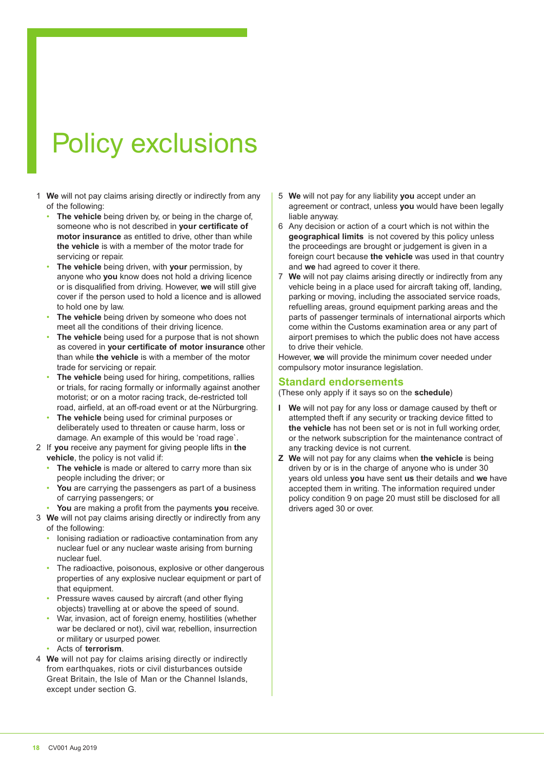# Policy exclusions

- 1 **We** will not pay claims arising directly or indirectly from any of the following:
	- **The vehicle** being driven by, or being in the charge of, someone who is not described in **your certificate of motor insurance** as entitled to drive, other than while **the vehicle** is with a member of the motor trade for servicing or repair.
	- **The vehicle** being driven, with **your** permission, by anyone who **you** know does not hold a driving licence or is disqualiied from driving. However, **we** will still give cover if the person used to hold a licence and is allowed to hold one by law.
	- **The vehicle** being driven by someone who does not meet all the conditions of their driving licence.
	- **The vehicle** being used for a purpose that is not shown as covered in **your certificate of motor insurance** other than while **the vehicle** is with a member of the motor trade for servicing or repair.
	- **The vehicle** being used for hiring, competitions, rallies or trials, for racing formally or informally against another motorist; or on a motor racing track, de-restricted toll road, airfield, at an off-road event or at the Nürburgring.
	- **The vehicle** being used for criminal purposes or deliberately used to threaten or cause harm, loss or damage. An example of this would be 'road rage`.
- 2 If **you** receive any payment for giving people lifts in **the vehicle**, the policy is not valid if:
	- The vehicle is made or altered to carry more than six people including the driver; or
	- You are carrying the passengers as part of a business of carrying passengers; or
	- You are making a profit from the payments you receive.
- 3 **We** will not pay claims arising directly or indirectly from any of the following:
	- Ionising radiation or radioactive contamination from any nuclear fuel or any nuclear waste arising from burning nuclear fuel.
	- The radioactive, poisonous, explosive or other dangerous properties of any explosive nuclear equipment or part of that equipment.
	- Pressure waves caused by aircraft (and other lying objects) travelling at or above the speed of sound.
	- War, invasion, act of foreign enemy, hostilities (whether war be declared or not), civil war, rebellion, insurrection or military or usurped power.
	- Acts of **terrorism**.
- 4 **We** will not pay for claims arising directly or indirectly from earthquakes, riots or civil disturbances outside Great Britain, the Isle of Man or the Channel Islands, except under section G.
- 5 **We** will not pay for any liability **you** accept under an agreement or contract, unless **you** would have been legally liable anyway.
- 6 Any decision or action of a court which is not within the **geographical limits** is not covered by this policy unless the proceedings are brought or judgement is given in a foreign court because **the vehicle** was used in that country and **we** had agreed to cover it there.
- 7 **We** will not pay claims arising directly or indirectly from any vehicle being in a place used for aircraft taking off, landing, parking or moving, including the associated service roads, refuelling areas, ground equipment parking areas and the parts of passenger terminals of international airports which come within the Customs examination area or any part of airport premises to which the public does not have access to drive their vehicle.

However, **we** will provide the minimum cover needed under compulsory motor insurance legislation.

# **Standard endorsements**

(These only apply if it says so on the **schedule**)

- **I We** will not pay for any loss or damage caused by theft or attempted theft if any security or tracking device fitted to **the vehicle** has not been set or is not in full working order, or the network subscription for the maintenance contract of any tracking device is not current.
- **Z We** will not pay for any claims when **the vehicle** is being driven by or is in the charge of anyone who is under 30 years old unless **you** have sent **us** their details and **we** have accepted them in writing. The information required under policy condition 9 on page 20 must still be disclosed for all drivers aged 30 or over.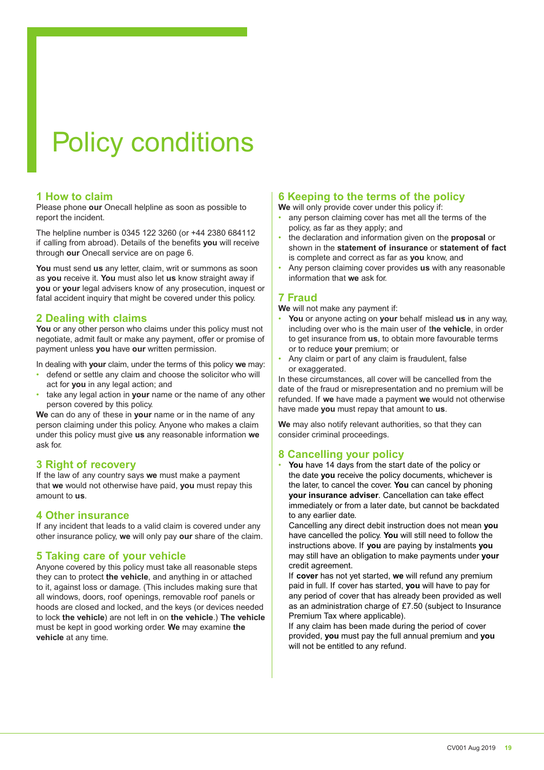# Policy conditions

# **1 How to claim**

Please phone **our** Onecall helpline as soon as possible to report the incident.

The helpline number is 0345 122 3260 (or +44 2380 684112 if calling from abroad). Details of the benefits you will receive through **our** Onecall service are on page 6.

**You** must send **us** any letter, claim, writ or summons as soon as **you** receive it. **You** must also let **us** know straight away if **you** or **your** legal advisers know of any prosecution, inquest or fatal accident inquiry that might be covered under this policy.

# **2 Dealing with claims**

**You** or any other person who claims under this policy must not negotiate, admit fault or make any payment, offer or promise of payment unless **you** have **our** written permission.

In dealing with **your** claim, under the terms of this policy **we** may:

- defend or settle any claim and choose the solicitor who will act for **you** in any legal action; and
- take any legal action in **your** name or the name of any other person covered by this policy.

**We** can do any of these in **your** name or in the name of any person claiming under this policy. Anyone who makes a claim under this policy must give **us** any reasonable information **we**  ask for.

# **3 Right of recovery**

If the law of any country says **we** must make a payment that **we** would not otherwise have paid, **you** must repay this amount to **us**.

## **4 Other insurance**

If any incident that leads to a valid claim is covered under any other insurance policy, **we** will only pay **our** share of the claim.

# **5 Taking care of your vehicle**

Anyone covered by this policy must take all reasonable steps they can to protect **the vehicle**, and anything in or attached to it, against loss or damage. (This includes making sure that all windows, doors, roof openings, removable roof panels or hoods are closed and locked, and the keys (or devices needed to lock **the vehicle**) are not left in on **the vehicle**.) **The vehicle**  must be kept in good working order. **We** may examine **the vehicle** at any time.

# **6 Keeping to the terms of the policy**

**We** will only provide cover under this policy if:

- any person claiming cover has met all the terms of the policy, as far as they apply; and
- the declaration and information given on the **proposal** or shown in the **statement of insurance** or **statement of fact**  is complete and correct as far as **you** know, and
- Any person claiming cover provides **us** with any reasonable information that **we** ask for.

# **7 Fraud**

**We** will not make any payment if:

- **You** or anyone acting on **your** behalf mislead **us** in any way, including over who is the main user of t**he vehicle**, in order to get insurance from **us**, to obtain more favourable terms or to reduce **your** premium; or
- Any claim or part of any claim is fraudulent, false or exaggerated.

In these circumstances, all cover will be cancelled from the date of the fraud or misrepresentation and no premium will be refunded. If **we** have made a payment **we** would not otherwise have made **you** must repay that amount to **us**.

**We** may also notify relevant authorities, so that they can consider criminal proceedings.

# **8 Cancelling your policy**

• **You** have 14 days from the start date of the policy or the date **you** receive the policy documents, whichever is the later, to cancel the cover. **You** can cancel by phoning **your insurance adviser**. Cancellation can take efect immediately or from a later date, but cannot be backdated to any earlier date.

 Cancelling any direct debit instruction does not mean **you**  have cancelled the policy. **You** will still need to follow the instructions above. If **you** are paying by instalments **you**  may still have an obligation to make payments under **your**  credit agreement.

 If **cover** has not yet started, **we** will refund any premium paid in full. If cover has started, **you** will have to pay for any period of cover that has already been provided as well as an administration charge of £7.50 (subject to Insurance Premium Tax where applicable).

 If any claim has been made during the period of cover provided, **you** must pay the full annual premium and **you**  will not be entitled to any refund.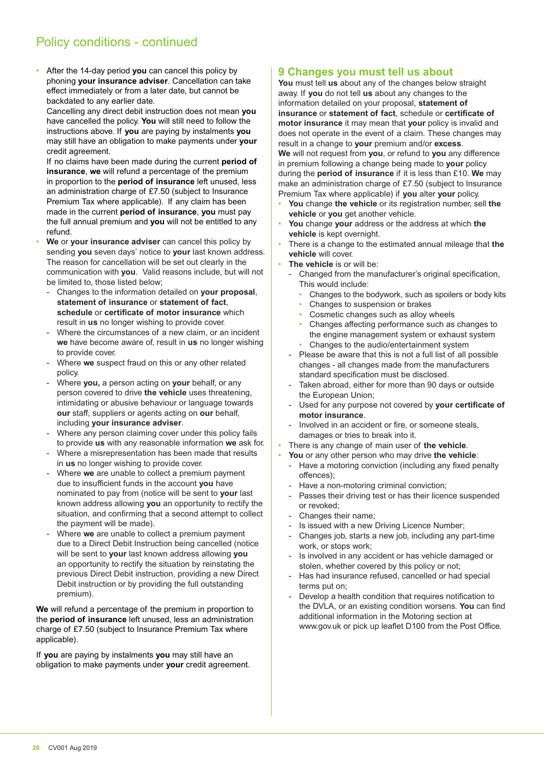# Policy conditions - continued

• After the 14-day period **you** can cancel this policy by phoning **your insurance adviser**. Cancellation can take efect immediately or from a later date, but cannot be backdated to any earlier date.

 Cancelling any direct debit instruction does not mean **you**  have cancelled the policy. **You** will still need to follow the instructions above. If **you** are paying by instalments **you**  may still have an obligation to make payments under **your**  credit agreement.

 If no claims have been made during the current **period of insurance**, **we** will refund a percentage of the premium in proportion to the **period of insurance** left unused, less an administration charge of £7.50 (subject to Insurance Premium Tax where applicable). If any claim has been made in the current **period of insurance**, **you** must pay the full annual premium and **you** will not be entitled to any refund.

- **We** or **your insurance adviser** can cancel this policy by sending **you** seven days' notice to **your** last known address. The reason for cancellation will be set out clearly in the communication with **you**. Valid reasons include, but will not be limited to, those listed below;
- Changes to the information detailed on **your proposal**, **statement of insurance** or **statement of fact**, **schedule** or **certificate of motor insurance** which result in **us** no longer wishing to provide cover.
- Where the circumstances of a new claim, or an incident **we** have become aware of, result in **us** no longer wishing to provide cover.
- Where we suspect fraud on this or any other related policy.
- Where **you,** a person acting on **your** behalf, or any person covered to drive **the vehicle** uses threatening, intimidating or abusive behaviour or language towards **our** staf, suppliers or agents acting on **our** behalf, including **your insurance adviser**.
- Where any person claiming cover under this policy fails to provide **us** with any reasonable information **we** ask for.
- Where a misrepresentation has been made that results in **us** no longer wishing to provide cover.
- Where **we** are unable to collect a premium payment due to insufficient funds in the account you have nominated to pay from (notice will be sent to **your** last known address allowing **you** an opportunity to rectify the situation, and confirming that a second attempt to collect the payment will be made).
- Where we are unable to collect a premium payment due to a Direct Debit Instruction being cancelled (notice will be sent to **your** last known address allowing **you** an opportunity to rectify the situation by reinstating the previous Direct Debit instruction, providing a new Direct Debit instruction or by providing the full outstanding premium).

**We** will refund a percentage of the premium in proportion to the **period of insurance** left unused, less an administration charge of £7.50 (subject to Insurance Premium Tax where applicable).

If **you** are paying by instalments **you** may still have an obligation to make payments under **your** credit agreement.

# **9 Changes you must tell us about**

**You** must tell **us** about any of the changes below straight away. If **you** do not tell **us** about any changes to the information detailed on your proposal, **statement of insurance** or **statement of fact**, schedule or **certificate of motor insurance** it may mean that **your** policy is invalid and does not operate in the event of a claim. These changes may result in a change to **your** premium and/or **excess**. **We** will not request from **you**, or refund to **you** any diference in premium following a change being made to **your** policy during the **period of insurance** if it is less than £10. **We** may make an administration charge of £7.50 (subject to Insurance Premium Tax where applicable) if **you** alter **your** policy.

- **You** change **the vehicle** or its registration number, sell **the vehicle** or **you** get another vehicle.
- **You** change **your** address or the address at which **the vehicle** is kept overnight.
- There is a change to the estimated annual mileage that **the vehicle** will cover.
- The vehicle is or will be:
	- Changed from the manufacturer's original specification, This would include:
		- Changes to the bodywork, such as spoilers or body kits
		- Changes to suspension or brakes
		- Cosmetic changes such as alloy wheels
		- Changes afecting performance such as changes to the engine management system or exhaust system • Changes to the audio/entertainment system
	- Please be aware that this is not a full list of all possible changes - all changes made from the manufacturers standard specification must be disclosed.
	- Taken abroad, either for more than 90 days or outside the European Union;
	- Used for any purpose not covered by **your certificate of motor insurance**.
	- Involved in an accident or fire, or someone steals, damages or tries to break into it.
- There is any change of main user of **the vehicle**.
- **You** or any other person who may drive **the vehicle**:
	- Have a motoring conviction (including any fixed penalty ofences);
	- Have a non-motoring criminal conviction;
	- Passes their driving test or has their licence suspended or revoked;
	- Changes their name;
	- Is issued with a new Driving Licence Number;
	- Changes job, starts a new job, including any part-time work, or stops work;
	- Is involved in any accident or has vehicle damaged or stolen, whether covered by this policy or not;
	- Has had insurance refused, cancelled or had special terms put on;
	- Develop a health condition that requires notification to the DVLA, or an existing condition worsens. You can find additional information in the Motoring section at www.gov.uk or pick up leaflet D100 from the Post Office.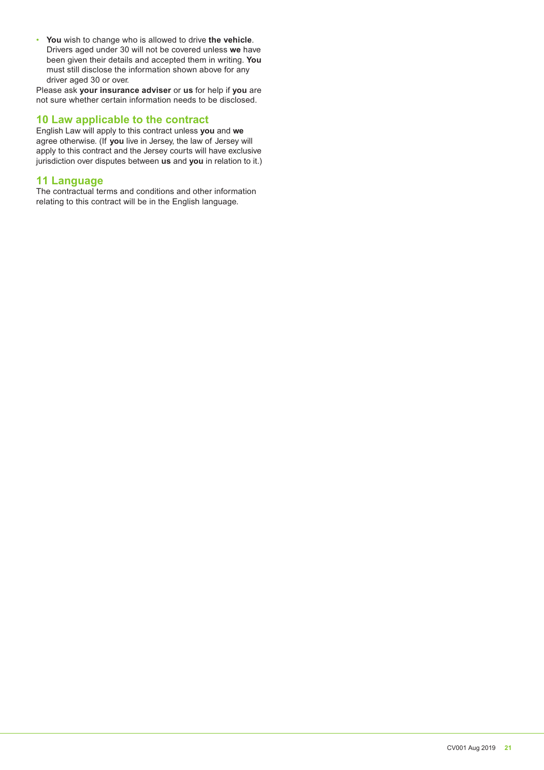• **You** wish to change who is allowed to drive **the vehicle**. Drivers aged under 30 will not be covered unless **we** have been given their details and accepted them in writing. **You** must still disclose the information shown above for any driver aged 30 or over.

Please ask **your insurance adviser** or **us** for help if **you** are not sure whether certain information needs to be disclosed.

# **10 Law applicable to the contract**

English Law will apply to this contract unless **you** and **we**  agree otherwise. (If **you** live in Jersey, the law of Jersey will apply to this contract and the Jersey courts will have exclusive jurisdiction over disputes between **us** and **you** in relation to it.)

# **11 Language**

The contractual terms and conditions and other information relating to this contract will be in the English language.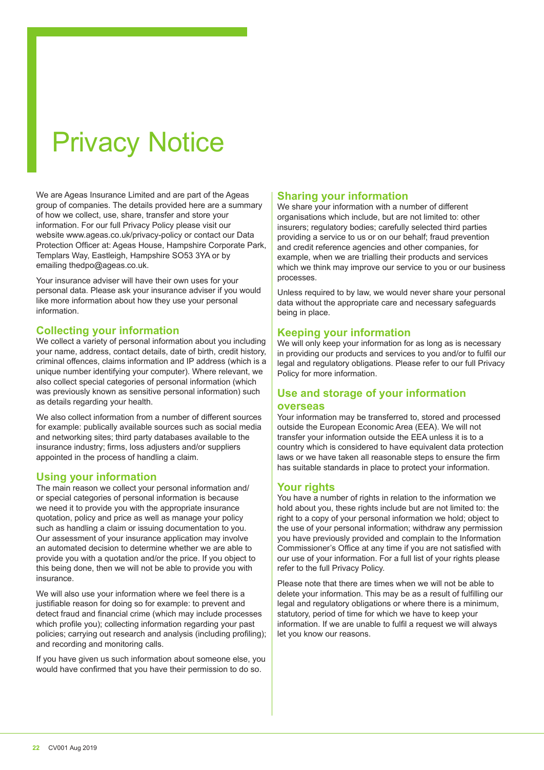# Privacy Notice

We are Ageas Insurance Limited and are part of the Ageas group of companies. The details provided here are a summary of how we collect, use, share, transfer and store your information. For our full Privacy Policy please visit our website www.ageas.co.uk/privacy-policy or contact our Data Protection Oficer at: Ageas House, Hampshire Corporate Park, Templars Way, Eastleigh, Hampshire SO53 3YA or by emailing thedpo@ageas.co.uk.

Your insurance adviser will have their own uses for your personal data. Please ask your insurance adviser if you would like more information about how they use your personal information.

# **Collecting your information**

We collect a variety of personal information about you including your name, address, contact details, date of birth, credit history, criminal offences, claims information and IP address (which is a unique number identifying your computer). Where relevant, we also collect special categories of personal information (which was previously known as sensitive personal information) such as details regarding your health.

We also collect information from a number of different sources for example: publically available sources such as social media and networking sites; third party databases available to the insurance industry; irms, loss adjusters and/or suppliers appointed in the process of handling a claim.

## **Using your information**

The main reason we collect your personal information and/ or special categories of personal information is because we need it to provide you with the appropriate insurance quotation, policy and price as well as manage your policy such as handling a claim or issuing documentation to you. Our assessment of your insurance application may involve an automated decision to determine whether we are able to provide you with a quotation and/or the price. If you object to this being done, then we will not be able to provide you with insurance.

We will also use your information where we feel there is a justifiable reason for doing so for example: to prevent and detect fraud and financial crime (which may include processes which profile you); collecting information regarding your past policies; carrying out research and analysis (including profiling); and recording and monitoring calls.

If you have given us such information about someone else, you would have confirmed that you have their permission to do so.

# **Sharing your information**

We share your information with a number of different organisations which include, but are not limited to: other insurers; regulatory bodies; carefully selected third parties providing a service to us or on our behalf; fraud prevention and credit reference agencies and other companies, for example, when we are trialling their products and services which we think may improve our service to you or our business processes.

Unless required to by law, we would never share your personal data without the appropriate care and necessary safeguards being in place.

# **Keeping your information**

We will only keep your information for as long as is necessary in providing our products and services to you and/or to fulil our legal and regulatory obligations. Please refer to our full Privacy Policy for more information.

# **Use and storage of your information**

### **overseas**

Your information may be transferred to, stored and processed outside the European Economic Area (EEA). We will not transfer your information outside the EEA unless it is to a country which is considered to have equivalent data protection laws or we have taken all reasonable steps to ensure the irm has suitable standards in place to protect your information.

# **Your rights**

You have a number of rights in relation to the information we hold about you, these rights include but are not limited to: the right to a copy of your personal information we hold; object to the use of your personal information; withdraw any permission you have previously provided and complain to the Information Commissioner's Ofice at any time if you are not satisied with our use of your information. For a full list of your rights please refer to the full Privacy Policy.

Please note that there are times when we will not be able to delete your information. This may be as a result of fulilling our legal and regulatory obligations or where there is a minimum, statutory, period of time for which we have to keep your information. If we are unable to fulfil a request we will always let you know our reasons.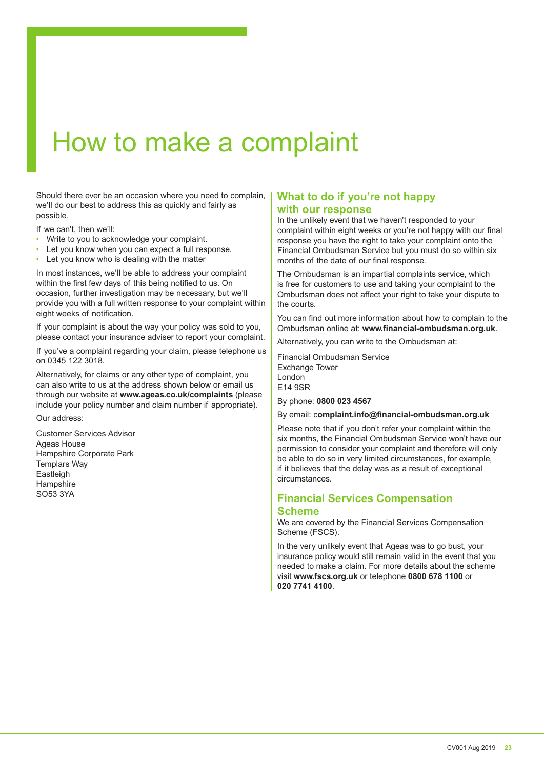# How to make a complaint

Should there ever be an occasion where you need to complain, we'll do our best to address this as quickly and fairly as possible.

If we can't, then we'll:

- Write to you to acknowledge your complaint.
- Let you know when you can expect a full response.
- Let you know who is dealing with the matter

In most instances, we'll be able to address your complaint within the first few days of this being notified to us. On occasion, further investigation may be necessary, but we'll provide you with a full written response to your complaint within eight weeks of notification.

If your complaint is about the way your policy was sold to you, please contact your insurance adviser to report your complaint.

If you've a complaint regarding your claim, please telephone us on 0345 122 3018.

Alternatively, for claims or any other type of complaint, you can also write to us at the address shown below or email us through our website at **www.ageas.co.uk/complaints** (please include your policy number and claim number if appropriate).

Our address:

Customer Services Advisor Ageas House Hampshire Corporate Park Templars Way Eastleigh **Hampshire** SO53 3YA

# **What to do if you're not happy with our response**

In the unlikely event that we haven't responded to your complaint within eight weeks or you're not happy with our final response you have the right to take your complaint onto the Financial Ombudsman Service but you must do so within six months of the date of our final response.

The Ombudsman is an impartial complaints service, which is free for customers to use and taking your complaint to the Ombudsman does not afect your right to take your dispute to the courts.

You can find out more information about how to complain to the Ombudsman online at: **www.financial-ombudsman.org.uk**.

Alternatively, you can write to the Ombudsman at:

Financial Ombudsman Service Exchange Tower London E14 9SR

By phone: **0800 023 4567**

By email: c**omplaint.info@financial-ombudsman.org.uk**

Please note that if you don't refer your complaint within the six months, the Financial Ombudsman Service won't have our permission to consider your complaint and therefore will only be able to do so in very limited circumstances, for example, if it believes that the delay was as a result of exceptional circumstances.

# **Financial Services Compensation Scheme**

We are covered by the Financial Services Compensation Scheme (FSCS).

In the very unlikely event that Ageas was to go bust, your insurance policy would still remain valid in the event that you needed to make a claim. For more details about the scheme visit **www.fscs.org.uk** or telephone **0800 678 1100** or **020 7741 4100**.